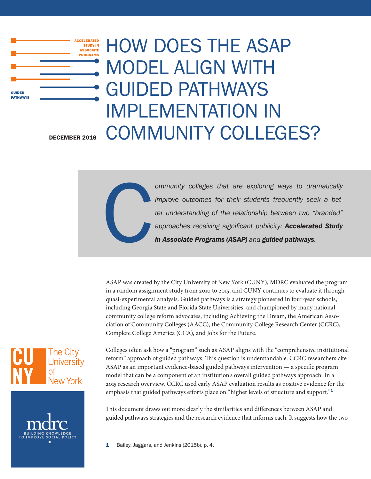

# HOW DOES THE ASAP MODEL ALIGN WITH GUIDED PATHWAYS IMPLEMENTATION IN DECEMBER 2016 COMMUNITY COLLEGES?

C *ommunity colleges that are exploring ways to dramatically improve outcomes for their students frequently seek a better understanding of the relationship between two "branded" approaches receiving significant publicity: Accelerated Study in Associate Programs (ASAP) and guided pathways.*

ASAP was created by the City University of New York (CUNY); MDRC evaluated the program in a random assignment study from 2010 to 2015, and CUNY continues to evaluate it through quasi-experimental analysis. Guided pathways is a strategy pioneered in four-year schools, including Georgia State and Florida State Universities, and championed by many national community college reform advocates, including Achieving the Dream, the American Association of Community Colleges (AACC), the Community College Research Center (CCRC), Complete College America (CCA), and Jobs for the Future.





Colleges often ask how a "program" such as ASAP aligns with the "comprehensive institutional reform" approach of guided pathways. This question is understandable: CCRC researchers cite ASAP as an important evidence-based guided pathways intervention — a specific program model that can be a component of an institution's overall guided pathways approach. In a 2015 research overview, CCRC used early ASAP evaluation results as positive evidence for the emphasis that guided pathways efforts place on "higher levels of structure and support."<sup>1</sup>

This document draws out more clearly the similarities and differences between ASAP and guided pathways strategies and the research evidence that informs each. It suggests how the two

1 Bailey, Jaggars, and Jenkins (2015b), p. 4.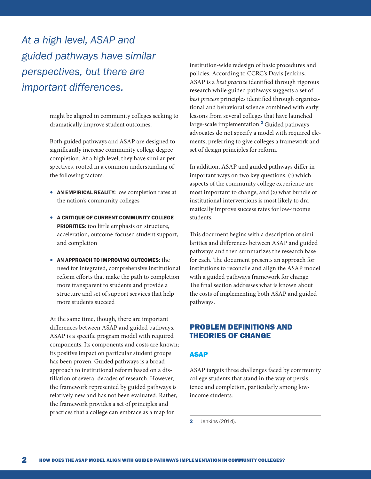*At a high level, ASAP and guided pathways have similar perspectives, but there are important differences.*

> might be aligned in community colleges seeking to dramatically improve student outcomes.

Both guided pathways and ASAP are designed to significantly increase community college degree completion. At a high level, they have similar perspectives, rooted in a common understanding of the following factors:

- AN EMPIRICAL REALITY: low completion rates at the nation's community colleges
- A CRITIQUE OF CURRENT COMMUNITY COLLEGE PRIORITIES: too little emphasis on structure, acceleration, outcome-focused student support, and completion
- AN APPROACH TO IMPROVING OUTCOMES: the need for integrated, comprehensive institutional reform efforts that make the path to completion more transparent to students and provide a structure and set of support services that help more students succeed

At the same time, though, there are important differences between ASAP and guided pathways. ASAP is a specific program model with required components. Its components and costs are known; its positive impact on particular student groups has been proven. Guided pathways is a broad approach to institutional reform based on a distillation of several decades of research. However, the framework represented by guided pathways is relatively new and has not been evaluated. Rather, the framework provides a set of principles and practices that a college can embrace as a map for

institution-wide redesign of basic procedures and policies. According to CCRC's Davis Jenkins, ASAP is a *best practice* identified through rigorous research while guided pathways suggests a set of *best process* principles identified through organizational and behavioral science combined with early lessons from several colleges that have launched large-scale implementation.<sup>2</sup> Guided pathways advocates do not specify a model with required elements, preferring to give colleges a framework and set of design principles for reform.

In addition, ASAP and guided pathways differ in important ways on two key questions: (1) which aspects of the community college experience are most important to change, and (2) what bundle of institutional interventions is most likely to dramatically improve success rates for low-income students.

This document begins with a description of similarities and differences between ASAP and guided pathways and then summarizes the research base for each. The document presents an approach for institutions to reconcile and align the ASAP model with a guided pathways framework for change. The final section addresses what is known about the costs of implementing both ASAP and guided pathways.

# PROBLEM DEFINITIONS AND THEORIES OF CHANGE

## ASAP

ASAP targets three challenges faced by community college students that stand in the way of persistence and completion, particularly among lowincome students:

**2** Jenkins (2014).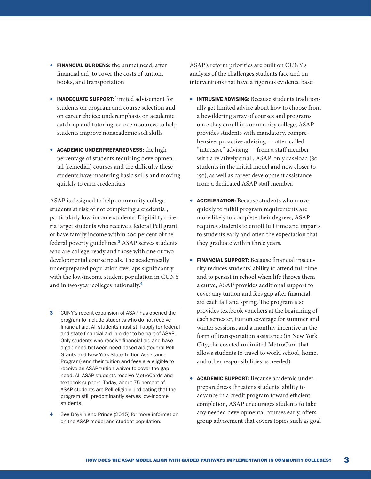- FINANCIAL BURDENS: the unmet need, after financial aid, to cover the costs of tuition, books, and transportation
- INADEQUATE SUPPORT: limited advisement for students on program and course selection and on career choice; underemphasis on academic catch-up and tutoring; scarce resources to help students improve nonacademic soft skills
- ACADEMIC UNDERPREPAREDNESS: the high percentage of students requiring developmental (remedial) courses and the difficulty these students have mastering basic skills and moving quickly to earn credentials

ASAP is designed to help community college students at risk of not completing a credential, particularly low-income students. Eligibility criteria target students who receive a federal Pell grant or have family income within 200 percent of the federal poverty guidelines.<sup>3</sup> ASAP serves students who are college-ready and those with one or two developmental course needs. The academically underprepared population overlaps significantly with the low-income student population in CUNY and in two-year colleges nationally.<sup>4</sup>

- **3** CUNY's recent expansion of ASAP has opened the program to include students who do not receive financial aid. All students must still apply for federal and state financial aid in order to be part of ASAP. Only students who receive financial aid and have a gap need between need-based aid (federal Pell Grants and New York State Tuition Assistance Program) and their tuition and fees are eligible to receive an ASAP tuition waiver to cover the gap need. All ASAP students receive MetroCards and textbook support. Today, about 75 percent of ASAP students are Pell-eligible, indicating that the program still predominantly serves low-income students.
- 4 See Boykin and Prince (2015) for more information on the ASAP model and student population.

ASAP's reform priorities are built on CUNY's analysis of the challenges students face and on interventions that have a rigorous evidence base:

- INTRUSIVE ADVISING: Because students traditionally get limited advice about how to choose from a bewildering array of courses and programs once they enroll in community college, ASAP provides students with mandatory, comprehensive, proactive advising — often called "intrusive" advising — from a staff member with a relatively small, ASAP-only caseload (80 students in the initial model and now closer to 150), as well as career development assistance from a dedicated ASAP staff member.
- ACCELERATION: Because students who move quickly to fulfill program requirements are more likely to complete their degrees, ASAP requires students to enroll full time and imparts to students early and often the expectation that they graduate within three years.
- FINANCIAL SUPPORT: Because financial insecurity reduces students' ability to attend full time and to persist in school when life throws them a curve, ASAP provides additional support to cover any tuition and fees gap after financial aid each fall and spring. The program also provides textbook vouchers at the beginning of each semester, tuition coverage for summer and winter sessions, and a monthly incentive in the form of transportation assistance (in New York City, the coveted unlimited MetroCard that allows students to travel to work, school, home, and other responsibilities as needed).
- ACADEMIC SUPPORT: Because academic underpreparedness threatens students' ability to advance in a credit program toward efficient completion, ASAP encourages students to take any needed developmental courses early, offers group advisement that covers topics such as goal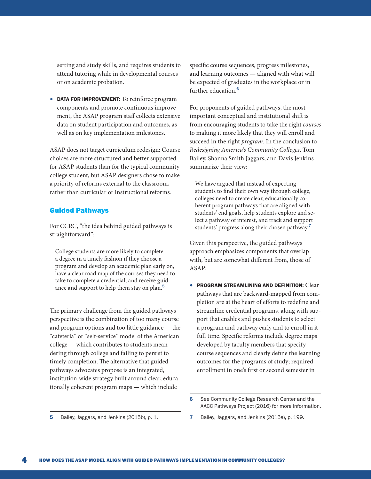setting and study skills, and requires students to attend tutoring while in developmental courses or on academic probation.

• DATA FOR IMPROVEMENT: To reinforce program components and promote continuous improvement, the ASAP program staff collects extensive data on student participation and outcomes, as well as on key implementation milestones.

ASAP does not target curriculum redesign: Course choices are more structured and better supported for ASAP students than for the typical community college student, but ASAP designers chose to make a priority of reforms external to the classroom, rather than curricular or instructional reforms.

## Guided Pathways

For CCRC, "the idea behind guided pathways is straightforward":

College students are more likely to complete a degree in a timely fashion if they choose a program and develop an academic plan early on, have a clear road map of the courses they need to take to complete a credential, and receive guidance and support to help them stay on plan.<sup>5</sup>

The primary challenge from the guided pathways perspective is the combination of too many course and program options and too little guidance — the "cafeteria" or "self-service" model of the American college — which contributes to students meandering through college and failing to persist to timely completion. The alternative that guided pathways advocates propose is an integrated, institution-wide strategy built around clear, educationally coherent program maps — which include

specific course sequences, progress milestones, and learning outcomes — aligned with what will be expected of graduates in the workplace or in further education.<sup>6</sup>

For proponents of guided pathways, the most important conceptual and institutional shift is from encouraging students to take the right *courses* to making it more likely that they will enroll and succeed in the right *program*. In the conclusion to *Redesigning America's Community Colleges*, Tom Bailey, Shanna Smith Jaggars, and Davis Jenkins summarize their view:

We have argued that instead of expecting students to find their own way through college, colleges need to create clear, educationally coherent program pathways that are aligned with students' end goals, help students explore and select a pathway of interest, and track and support students' progress along their chosen pathway.<sup>7</sup>

Given this perspective, the guided pathways approach emphasizes components that overlap with, but are somewhat different from, those of ASAP:

• PROGRAM STREAMLINING AND DEFINITION: Clear pathways that are backward-mapped from completion are at the heart of efforts to redefine and streamline credential programs, along with support that enables and pushes students to select a program and pathway early and to enroll in it full time. Specific reforms include degree maps developed by faculty members that specify course sequences and clearly define the learning outcomes for the programs of study; required enrollment in one's first or second semester in

<sup>6</sup> See Community College Research Center and the AACC Pathways Project (2016) for more information.

<sup>5</sup> Bailey, Jaggars, and Jenkins (2015b), p. 1.

<sup>7</sup> Bailey, Jaggars, and Jenkins (2015a), p. 199.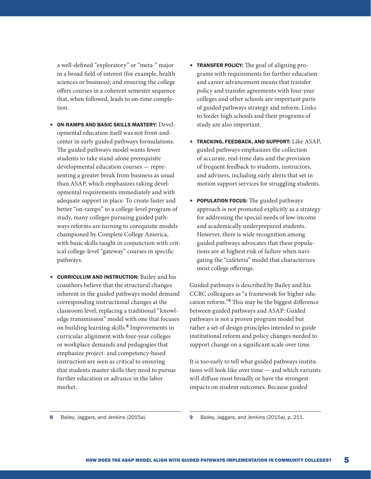a well-defined "exploratory" or "meta-" major in a broad field of interest (for example, health sciences or business); and ensuring the college offers courses in a coherent semester sequence that, when followed, leads to on-time completion.

- ON-RAMPS AND BASIC SKILLS MASTERY: Developmental education itself was not front-andcenter in early guided pathways formulations. The guided pathways model wants fewer students to take stand-alone prerequisite developmental education courses — representing a greater break from business as usual than ASAP, which emphasizes taking developmental requirements immediately and with adequate support in place. To create faster and better "on-ramps" to a college-level program of study, many colleges pursuing guided pathways reforms are turning to corequisite models championed by Complete College America, with basic skills taught in conjunction with critical college-level "gateway" courses in specific pathways.
- CURRICULUM AND INSTRUCTION: Bailey and his coauthors believe that the structural changes inherent in the guided pathways model demand corresponding instructional changes at the classroom level, replacing a traditional "knowledge transmission" model with one that focuses on building learning skills.<sup>8</sup> Improvements in curricular alignment with four-year colleges or workplace demands and pedagogies that emphasize project- and competency-based instruction are seen as critical to ensuring that students master skills they need to pursue further education or advance in the labor market.
- **TRANSFER POLICY:** The goal of aligning programs with requirements for further education and career advancement means that transfer policy and transfer agreements with four-year colleges and other schools are important parts of guided pathways strategy and reform. Links to feeder high schools and their programs of study are also important.
- TRACKING, FEEDBACK, AND SUPPORT: Like ASAP, guided pathways emphasizes the collection of accurate, real-time data and the provision of frequent feedback to students, instructors, and advisers, including early alerts that set in motion support services for struggling students.
- **POPULATION FOCUS:** The guided pathways approach is not promoted explicitly as a strategy for addressing the special needs of low-income and academically underprepared students. However, there is wide recognition among guided pathways advocates that these populations are at highest risk of failure when navigating the "cafeteria" model that characterizes most college offerings.

Guided pathways is described by Bailey and his CCRC colleagues as "a framework for higher education reform."<sup>9</sup> This may be the biggest difference between guided pathways and ASAP: Guided pathways is not a proven program model but rather a set of design principles intended to guide institutional reform and policy changes needed to support change on a significant scale over time.

It is too early to tell what guided pathways institutions will look like over time — and which variants will diffuse most broadly or have the strongest impacts on student outcomes. Because guided

8 Bailey, Jaggars, and Jenkins (2015a).

<sup>9</sup> Bailey, Jaggars, and Jenkins (2015a), p. 211.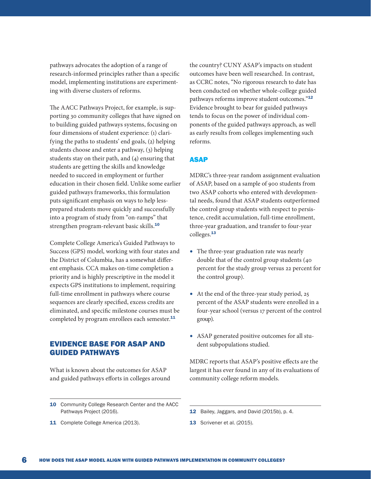pathways advocates the adoption of a range of research-informed principles rather than a specific model, implementing institutions are experimenting with diverse clusters of reforms.

The AACC Pathways Project, for example, is supporting 30 community colleges that have signed on to building guided pathways systems, focusing on four dimensions of student experience: (1) clarifying the paths to students' end goals, (2) helping students choose and enter a pathway, (3) helping students stay on their path, and (4) ensuring that students are getting the skills and knowledge needed to succeed in employment or further education in their chosen field. Unlike some earlier guided pathways frameworks, this formulation puts significant emphasis on ways to help lessprepared students move quickly and successfully into a program of study from "on-ramps" that strengthen program-relevant basic skills.<sup>10</sup>

Complete College America's Guided Pathways to Success (GPS) model, working with four states and the District of Columbia, has a somewhat different emphasis. CCA makes on-time completion a priority and is highly prescriptive in the model it expects GPS institutions to implement, requiring full-time enrollment in pathways where course sequences are clearly specified, excess credits are eliminated, and specific milestone courses must be completed by program enrollees each semester.<sup>11</sup>

# EVIDENCE BASE FOR ASAP AND GUIDED PATHWAYS

What is known about the outcomes for ASAP and guided pathways efforts in colleges around

11 Complete College America (2013).

the country? CUNY ASAP's impacts on student outcomes have been well researched. In contrast, as CCRC notes, "No rigorous research to date has been conducted on whether whole-college guided pathways reforms improve student outcomes."<sup>12</sup> Evidence brought to bear for guided pathways tends to focus on the power of individual components of the guided pathways approach, as well as early results from colleges implementing such reforms.

## ASAP

MDRC's three-year random assignment evaluation of ASAP, based on a sample of 900 students from two ASAP cohorts who entered with developmental needs, found that ASAP students outperformed the control group students with respect to persistence, credit accumulation, full-time enrollment, three-year graduation, and transfer to four-year colleges.<sup>13</sup>

- The three-year graduation rate was nearly double that of the control group students (40 percent for the study group versus 22 percent for the control group).
- At the end of the three-year study period, 25 percent of the ASAP students were enrolled in a four-year school (versus 17 percent of the control group).
- ASAP generated positive outcomes for all student subpopulations studied.

MDRC reports that ASAP's positive effects are the largest it has ever found in any of its evaluations of community college reform models.

- 12 Bailey, Jaggars, and David (2015b), p. 4.
- 13 Scrivener et al. (2015).

<sup>10</sup> Community College Research Center and the AACC Pathways Project (2016).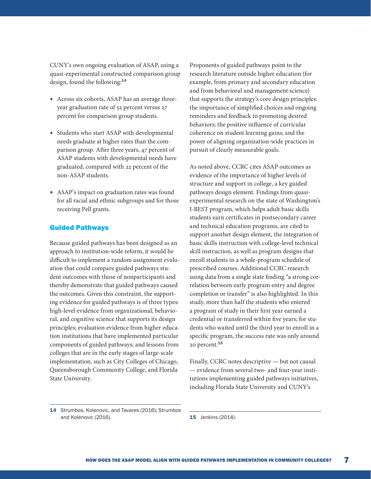CUNY's own ongoing evaluation of ASAP, using a quasi-experimental constructed comparison group design, found the following:<sup>14</sup>

- Across six cohorts, ASAP has an average threeyear graduation rate of 52 percent versus 27 percent for comparison group students.
- Students who start ASAP with developmental needs graduate at higher rates than the comparison group. After three years, 47 percent of ASAP students with developmental needs have graduated, compared with 22 percent of the non-ASAP students.
- ASAP's impact on graduation rates was found for all racial and ethnic subgroups and for those receiving Pell grants.

#### Guided Pathways

Because guided pathways has been designed as an approach to institution-wide reform, it would be difficult to implement a random assignment evaluation that could compare guided pathways student outcomes with those of nonparticipants and thereby demonstrate that guided pathways caused the outcomes. Given this constraint, the supporting evidence for guided pathways is of three types: high-level evidence from organizational, behavioral, and cognitive science that supports its design principles; evaluation evidence from higher education institutions that have implemented particular components of guided pathways; and lessons from colleges that are in the early stages of large-scale implementation, such as City Colleges of Chicago, Queensborough Community College, and Florida State University.

Proponents of guided pathways point to the research literature outside higher education (for example, from primary and secondary education and from behavioral and management science) that supports the strategy's core design principles: the importance of simplified choices and ongoing reminders and feedback in promoting desired behaviors; the positive influence of curricular coherence on student learning gains; and the power of aligning organization-wide practices in pursuit of clearly measurable goals.

As noted above, CCRC cites ASAP outcomes as evidence of the importance of higher levels of structure and support in college, a key guided pathways design element. Findings from quasiexperimental research on the state of Washington's I-BEST program, which helps adult basic skills students earn certificates in postsecondary career and technical education programs, are cited to support another design element, the integration of basic skills instruction with college-level technical skill instruction, as well as program designs that enroll students in a whole-program schedule of prescribed courses. Additional CCRC research using data from a single state finding "a strong correlation between early program entry and degree completion or transfer" is also highlighted. In this study, more than half the students who entered a program of study in their first year earned a credential or transferred within five years; for students who waited until the third year to enroll in a specific program, the success rate was only around 20 percent.<sup>15</sup>

Finally, CCRC notes descriptive — but not causal — evidence from several two- and four-year institutions implementing guided pathways initiatives, including Florida State University and CUNY's

<sup>14</sup> Strumbos, Kolenovic, and Tavares (2016); Strumbos and Kolenovic (2016).

**<sup>15</sup>** Jenkins (2014).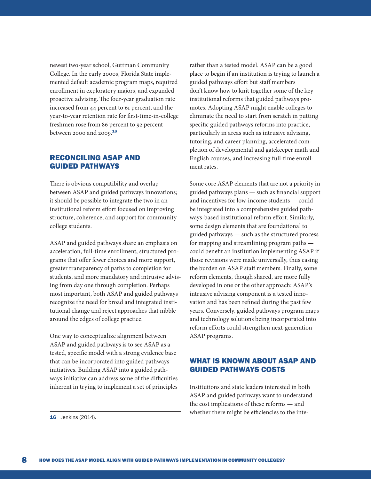newest two-year school, Guttman Community College. In the early 2000s, Florida State implemented default academic program maps, required enrollment in exploratory majors, and expanded proactive advising. The four-year graduation rate increased from 44 percent to 61 percent, and the year-to-year retention rate for first-time-in-college freshmen rose from 86 percent to 92 percent between 2000 and 2009.<sup>16</sup>

# RECONCILING ASAP AND GUIDED PATHWAYS

There is obvious compatibility and overlap between ASAP and guided pathways innovations; it should be possible to integrate the two in an institutional reform effort focused on improving structure, coherence, and support for community college students.

ASAP and guided pathways share an emphasis on acceleration, full-time enrollment, structured programs that offer fewer choices and more support, greater transparency of paths to completion for students, and more mandatory and intrusive advising from day one through completion. Perhaps most important, both ASAP and guided pathways recognize the need for broad and integrated institutional change and reject approaches that nibble around the edges of college practice.

One way to conceptualize alignment between ASAP and guided pathways is to see ASAP as a tested, specific model with a strong evidence base that can be incorporated into guided pathways initiatives. Building ASAP into a guided pathways initiative can address some of the difficulties inherent in trying to implement a set of principles rather than a tested model. ASAP can be a good place to begin if an institution is trying to launch a guided pathways effort but staff members don't know how to knit together some of the key institutional reforms that guided pathways promotes. Adopting ASAP might enable colleges to eliminate the need to start from scratch in putting specific guided pathways reforms into practice, particularly in areas such as intrusive advising, tutoring, and career planning, accelerated completion of developmental and gatekeeper math and English courses, and increasing full-time enrollment rates.

Some core ASAP elements that are not a priority in guided pathways plans — such as financial support and incentives for low-income students — could be integrated into a comprehensive guided pathways-based institutional reform effort. Similarly, some design elements that are foundational to guided pathways — such as the structured process for mapping and streamlining program paths could benefit an institution implementing ASAP if those revisions were made universally, thus easing the burden on ASAP staff members. Finally, some reform elements, though shared, are more fully developed in one or the other approach: ASAP's intrusive advising component is a tested innovation and has been refined during the past few years. Conversely, guided pathways program maps and technology solutions being incorporated into reform efforts could strengthen next-generation ASAP programs.

# WHAT IS KNOWN ABOUT ASAP AND GUIDED PATHWAYS COSTS

Institutions and state leaders interested in both ASAP and guided pathways want to understand the cost implications of these reforms — and whether there might be efficiencies to the inte-

**16** Jenkins (2014).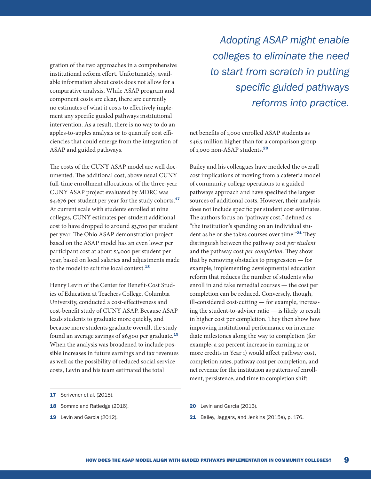gration of the two approaches in a comprehensive institutional reform effort. Unfortunately, available information about costs does not allow for a comparative analysis. While ASAP program and component costs are clear, there are currently no estimates of what it costs to effectively implement any specific guided pathways institutional intervention. As a result, there is no way to do an apples-to-apples analysis or to quantify cost efficiencies that could emerge from the integration of ASAP and guided pathways.

The costs of the CUNY ASAP model are well documented. The additional cost, above usual CUNY full-time enrollment allocations, of the three-year CUNY ASAP project evaluated by MDRC was \$4,676 per student per year for the study cohorts.<sup>17</sup> At current scale with students enrolled at nine colleges, CUNY estimates per-student additional cost to have dropped to around \$3,700 per student per year. The Ohio ASAP demonstration project based on the ASAP model has an even lower per participant cost at about \$3,000 per student per year, based on local salaries and adjustments made to the model to suit the local context.<sup>18</sup>

Henry Levin of the Center for Benefit-Cost Studies of Education at Teachers College, Columbia University, conducted a cost-effectiveness and cost-benefit study of CUNY ASAP. Because ASAP leads students to graduate more quickly, and because more students graduate overall, the study found an average savings of \$6,500 per graduate.<sup>19</sup> When the analysis was broadened to include possible increases in future earnings and tax revenues as well as the possibility of reduced social service costs, Levin and his team estimated the total

- 17 Scrivener et al. (2015).
- 18 Sommo and Ratledge (2016).
- 19 Levin and Garcia (2012).

*Adopting ASAP might enable colleges to eliminate the need to start from scratch in putting specific guided pathways reforms into practice.*

net benefits of 1,000 enrolled ASAP students as \$46.5 million higher than for a comparison group of 1,000 non-ASAP students.<sup>20</sup>

Bailey and his colleagues have modeled the overall cost implications of moving from a cafeteria model of community college operations to a guided pathways approach and have specified the largest sources of additional costs. However, their analysis does not include specific per student cost estimates. The authors focus on "pathway cost," defined as "the institution's spending on an individual student as he or she takes courses over time."<sup>21</sup> They distinguish between the pathway cost *per student* and the pathway cost *per completion*. They show that by removing obstacles to progression — for example, implementing developmental education reform that reduces the number of students who enroll in and take remedial courses — the cost per completion can be reduced. Conversely, though, ill-considered cost-cutting — for example, increasing the student-to-adviser ratio — is likely to result in higher cost per completion. They then show how improving institutional performance on intermediate milestones along the way to completion (for example, a 20 percent increase in earning 12 or more credits in Year 1) would affect pathway cost, completion rates, pathway cost per completion, and net revenue for the institution as patterns of enrollment, persistence, and time to completion shift.

21 Bailey, Jaggars, and Jenkins (2015a), p. 176.

<sup>20</sup> Levin and Garcia (2013).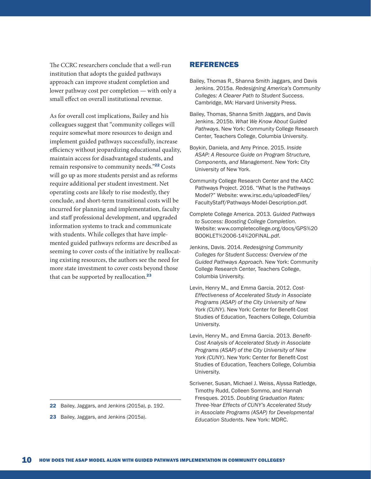The CCRC researchers conclude that a well-run institution that adopts the guided pathways approach can improve student completion and lower pathway cost per completion — with only a small effect on overall institutional revenue.

As for overall cost implications, Bailey and his colleagues suggest that "community colleges will require somewhat more resources to design and implement guided pathways successfully, increase efficiency without jeopardizing educational quality, maintain access for disadvantaged students, and remain responsive to community needs."<sup>22</sup> Costs will go up as more students persist and as reforms require additional per student investment. Net operating costs are likely to rise modestly, they conclude, and short-term transitional costs will be incurred for planning and implementation, faculty and staff professional development, and upgraded information systems to track and communicate with students. While colleges that have implemented guided pathways reforms are described as seeming to cover costs of the initiative by reallocating existing resources, the authors see the need for more state investment to cover costs beyond those that can be supported by reallocation.<sup>23</sup>

23 Bailey, Jaggars, and Jenkins (2015a).

## REFERENCES

- Bailey, Thomas R., Shanna Smith Jaggars, and Davis Jenkins. 2015a. *Redesigning America's Community Colleges: A Clearer Path to Student Success*. Cambridge, MA: Harvard University Press.
- Bailey, Thomas, Shanna Smith Jaggars, and Davis Jenkins. 2015b. *What We Know About Guided Pathways*. New York: Community College Research Center, Teachers College, Columbia University.
- Boykin, Daniela, and Amy Prince. 2015. *Inside ASAP: A Resource Guide on Program Structure, Components, and Management*. New York: City University of New York.
- Community College Research Center and the AACC Pathways Project. 2016. "What Is the Pathways Model?" Website: www.irsc.edu/uploadedFiles/ FacultyStaff/Pathways-Model-Description.pdf.
- Complete College America. 2013. *Guided Pathways to Success: Boosting College Completion*. Website: www.completecollege.org/docs/GPS%20 BOOKLET%2006-14%20FINAL.pdf.
- Jenkins, Davis. 2014. *Redesigning Community Colleges for Student Success: Overview of the Guided Pathways Approach*. New York: Community College Research Center, Teachers College, Columbia University.
- Levin, Henry M., and Emma Garcia. 2012. *Cost-Effectiveness of Accelerated Study in Associate Programs (ASAP) of the City University of New York (CUNY)*. New York: Center for Benefit-Cost Studies of Education, Teachers College, Columbia University.
- Levin, Henry M., and Emma Garcia. 2013. *Benefit-Cost Analysis of Accelerated Study in Associate Programs (ASAP) of the City University of New York (CUNY)*. New York: Center for Benefit-Cost Studies of Education, Teachers College, Columbia University.
- Scrivener, Susan, Michael J. Weiss, Alyssa Ratledge, Timothy Rudd, Colleen Sommo, and Hannah Fresques. 2015. *Doubling Graduation Rates: Three-Year Effects of CUNY's Accelerated Study in Associate Programs (ASAP) for Developmental Education Students*. New York: MDRC.

<sup>22</sup> Bailey, Jaggars, and Jenkins (2015a), p. 192.